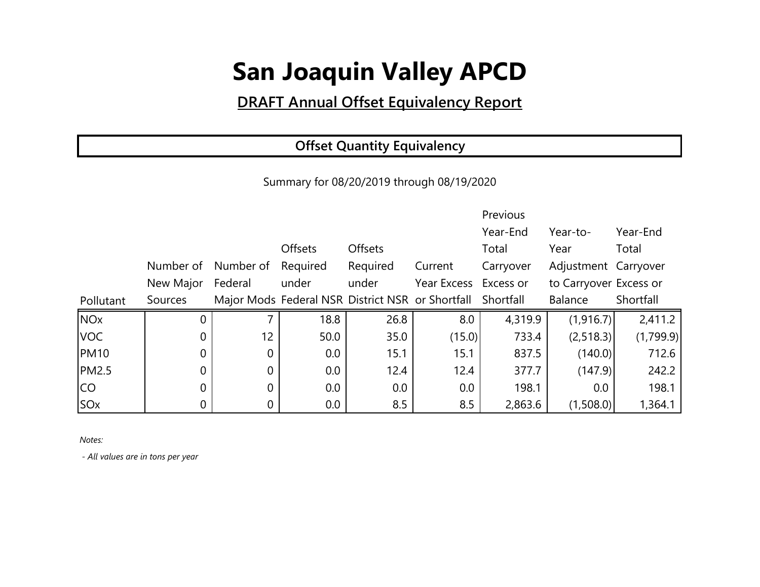### **DRAFT Annual Offset Equivalency Report**

### **Offset Quantity Equivalency**

Summary for 08/20/2019 through 08/19/2020

|                       |                |                |          |                |                                                            | Previous  |                        |           |
|-----------------------|----------------|----------------|----------|----------------|------------------------------------------------------------|-----------|------------------------|-----------|
|                       |                |                |          |                |                                                            | Year-End  | Year-to-               | Year-End  |
|                       |                |                | Offsets  | <b>Offsets</b> |                                                            | Total     | Year                   | Total     |
|                       | Number of      | Number of      | Required | Required       | Current                                                    | Carryover | Adjustment Carryover   |           |
|                       | New Major      | Federal        | under    | under          | Year Excess Excess or                                      |           | to Carryover Excess or |           |
| Pollutant             | Sources        |                |          |                | Major Mods Federal NSR District NSR or Shortfall Shortfall |           | Balance                | Shortfall |
| <b>NO<sub>x</sub></b> | 0              | $\overline{7}$ | 18.8     | 26.8           | 8.0                                                        | 4,319.9   | (1,916.7)              | 2,411.2   |
| <b>VOC</b>            | 0              | 12             | 50.0     | 35.0           | (15.0)                                                     | 733.4     | (2,518.3)              | (1,799.9) |
| <b>PM10</b>           | 0              | $\overline{0}$ | $0.0\,$  | 15.1           | 15.1                                                       | 837.5     | (140.0)                | 712.6     |
| <b>PM2.5</b>          | $\overline{0}$ | 0              | 0.0      | 12.4           | 12.4                                                       | 377.7     | (147.9)                | 242.2     |
| <b>CO</b>             | 0              | 0              | $0.0\,$  | 0.0            | 0.0                                                        | 198.1     | 0.0                    | 198.1     |
| SOx                   | 0              | $\overline{0}$ | $0.0\,$  | 8.5            | 8.5                                                        | 2,863.6   | (1,508.0)              | 1,364.1   |

*Notes:*

 *- All values are in tons per year*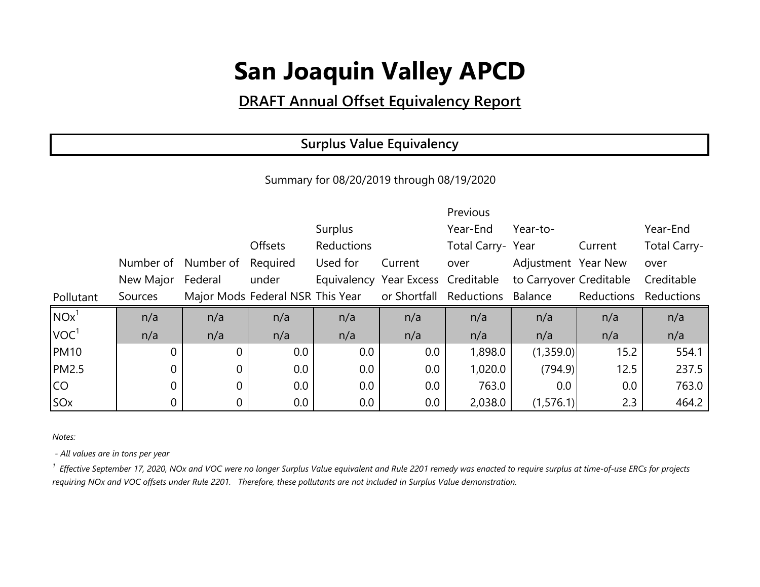### **DRAFT Annual Offset Equivalency Report**

#### **Surplus Value Equivalency**

Summary for 08/20/2019 through 08/19/2020

|                  |                   |                                                          |          |            |         | Previous                                                   |                     |            |                     |
|------------------|-------------------|----------------------------------------------------------|----------|------------|---------|------------------------------------------------------------|---------------------|------------|---------------------|
|                  |                   |                                                          |          | Surplus    |         | Year-End                                                   | Year-to-            |            | Year-End            |
|                  |                   |                                                          | Offsets  | Reductions |         | Total Carry-Year                                           |                     | Current    | <b>Total Carry-</b> |
|                  | Number of         | Number of                                                | Required | Used for   | Current | over                                                       | Adjustment Year New |            | over                |
|                  | New Major Federal |                                                          | under    |            |         | Equivalency Year Excess Creditable to Carryover Creditable |                     |            | Creditable          |
| Pollutant        | Sources           | Major Mods Federal NSR This Year or Shortfall Reductions |          |            |         |                                                            | Balance             | Reductions | Reductions          |
| NOx <sup>1</sup> | n/a               | n/a                                                      | n/a      | n/a        | n/a     | n/a                                                        | n/a                 | n/a        | n/a                 |
| VOC <sup>1</sup> | n/a               | n/a                                                      | n/a      | n/a        | n/a     | n/a                                                        | n/a                 | n/a        | n/a                 |
| <b>PM10</b>      | $\overline{0}$    | $\Omega$                                                 | 0.0      | 0.0        | 0.0     | 1,898.0                                                    | (1,359.0)           | 15.2       | 554.1               |
| <b>PM2.5</b>     | 0                 | 0                                                        | 0.0      | 0.0        | 0.0     | 1,020.0                                                    | (794.9)             | 12.5       | 237.5               |
| CO               |                   | 0                                                        | 0.0      | 0.0        | 0.0     | 763.0                                                      | 0.0                 | 0.0        | 763.0               |
| SO <sub>x</sub>  |                   |                                                          | 0.0      | $0.0\,$    | 0.0     | 2,038.0                                                    | (1,576.1)           | 2.3        | 464.2               |

*Notes:*

 *- All values are in tons per year*

<sup>1</sup> Effective September 17, 2020, NOx and VOC were no longer Surplus Value equivalent and Rule 2201 remedy was enacted to require surplus at time-of-use ERCs for projects *requiring NOx and VOC offsets under Rule 2201. Therefore, these pollutants are not included in Surplus Value demonstration.*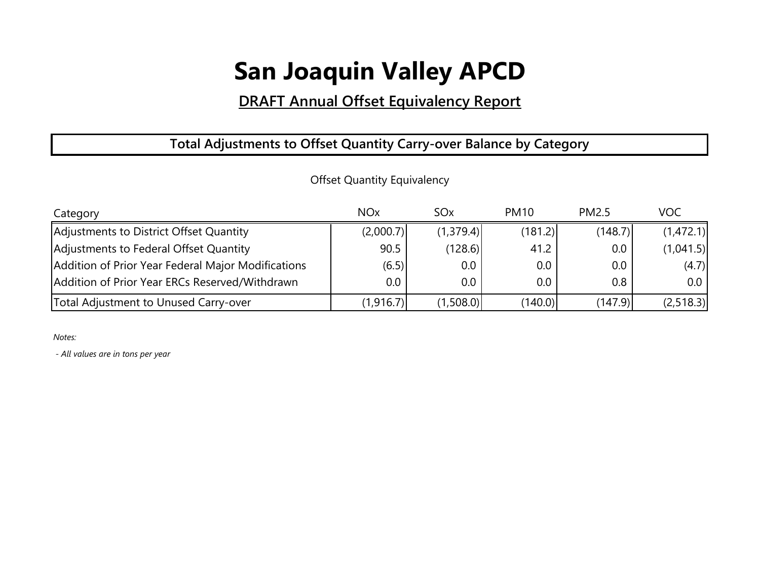### **DRAFT Annual Offset Equivalency Report**

#### **Total Adjustments to Offset Quantity Carry-over Balance by Category**

| Category                                           | <b>NO<sub>x</sub></b> | SO <sub>x</sub> | <b>PM10</b> | <b>PM2.5</b> | <b>VOC</b> |
|----------------------------------------------------|-----------------------|-----------------|-------------|--------------|------------|
| Adjustments to District Offset Quantity            | (2,000.7)             | (1,379.4)       | (181.2)     | (148.7)      | (1,472.1)  |
| Adjustments to Federal Offset Quantity             | 90.5                  | (128.6)         | 41.2        | $0.0\,$      | (1,041.5)  |
| Addition of Prior Year Federal Major Modifications | (6.5)                 | $0.0\,$         | $0.0\,$     | $0.0\,$      | (4.7)      |
| Addition of Prior Year ERCs Reserved/Withdrawn     | $0.0\,$               | $0.0\,$         | $0.0\,$     | 0.8          | 0.0        |
| Total Adjustment to Unused Carry-over              | (1,916.7)             | (1,508.0)       | (140.0)     | (147.9)      | (2, 518.3) |

Offset Quantity Equivalency

*Notes:*

 *- All values are in tons per year*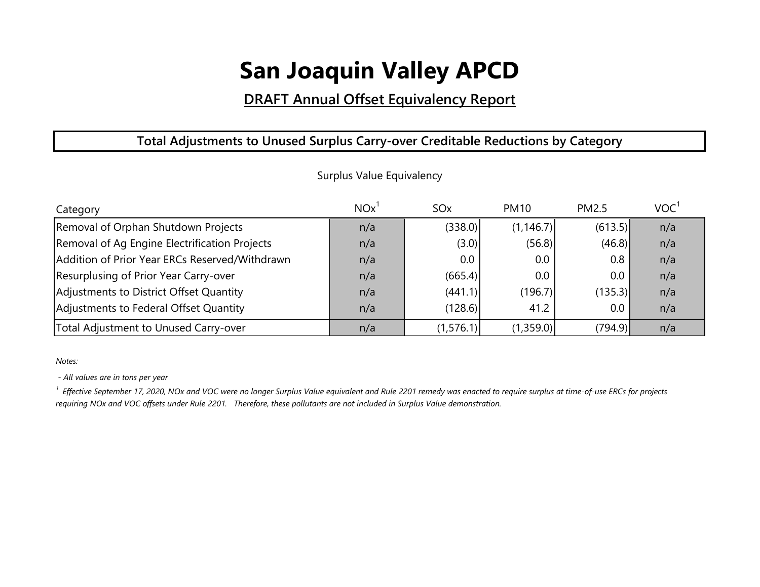#### **DRAFT Annual Offset Equivalency Report**

#### **Total Adjustments to Unused Surplus Carry-over Creditable Reductions by Category**

| Category                                       | <b>NO<sub>x</sub></b> | SO <sub>x</sub> | <b>PM10</b> | <b>PM2.5</b> | VOC <sup>1</sup> |
|------------------------------------------------|-----------------------|-----------------|-------------|--------------|------------------|
| Removal of Orphan Shutdown Projects            | n/a                   | (338.0)         | (1, 146.7)  | (613.5)      | n/a              |
| Removal of Ag Engine Electrification Projects  | n/a                   | (3.0)           | (56.8)      | (46.8)       | n/a              |
| Addition of Prior Year ERCs Reserved/Withdrawn | n/a                   | 0.0             | 0.0         | 0.8          | n/a              |
| Resurplusing of Prior Year Carry-over          | n/a                   | (665.4)         | 0.0         | $0.0\,$      | n/a              |
| Adjustments to District Offset Quantity        | n/a                   | (441.1)         | (196.7)     | (135.3)      | n/a              |
| Adjustments to Federal Offset Quantity         | n/a                   | (128.6)         | 41.2        | $0.0\,$      | n/a              |
| Total Adjustment to Unused Carry-over          | n/a                   | (1,576.1)       | (1,359.0)   | (794.9)      | n/a              |

Surplus Value Equivalency

*Notes:*

 *- All values are in tons per year*

*1 Effective September 17, 2020, NOx and VOC were no longer Surplus Value equivalent and Rule 2201 remedy was enacted to require surplus at time-of-use ERCs for projects requiring NOx and VOC offsets under Rule 2201. Therefore, these pollutants are not included in Surplus Value demonstration.*